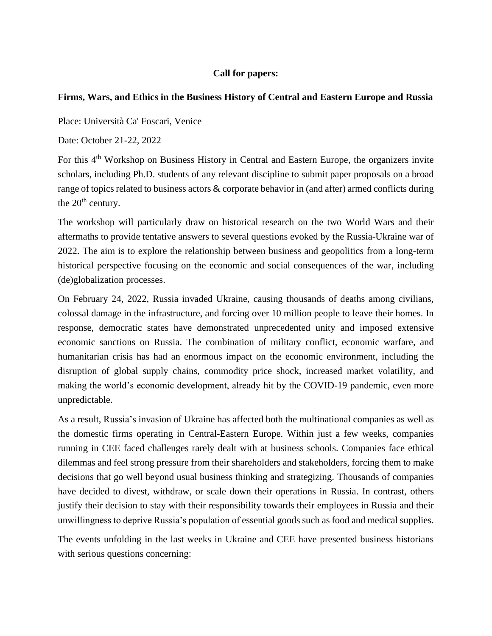## **Call for papers:**

## **Firms, Wars, and Ethics in the Business History of Central and Eastern Europe and Russia**

Place: Università Ca' Foscari, Venice

Date: October 21-22, 2022

For this 4<sup>th</sup> Workshop on Business History in Central and Eastern Europe, the organizers invite scholars, including Ph.D. students of any relevant discipline to submit paper proposals on a broad range of topics related to business actors & corporate behavior in (and after) armed conflicts during the  $20<sup>th</sup>$  century.

The workshop will particularly draw on historical research on the two World Wars and their aftermaths to provide tentative answers to several questions evoked by the Russia-Ukraine war of 2022. The aim is to explore the relationship between business and geopolitics from a long-term historical perspective focusing on the economic and social consequences of the war, including (de)globalization processes.

On February 24, 2022, Russia invaded Ukraine, causing thousands of deaths among civilians, colossal damage in the infrastructure, and forcing over 10 million people to leave their homes. In response, democratic states have demonstrated unprecedented unity and imposed extensive economic sanctions on Russia. The combination of military conflict, economic warfare, and humanitarian crisis has had an enormous impact on the economic environment, including the disruption of global supply chains, commodity price shock, increased market volatility, and making the world's economic development, already hit by the COVID-19 pandemic, even more unpredictable.

As a result, Russia's invasion of Ukraine has affected both the multinational companies as well as the domestic firms operating in Central-Eastern Europe. Within just a few weeks, companies running in CEE faced challenges rarely dealt with at business schools. Companies face ethical dilemmas and feel strong pressure from their shareholders and stakeholders, forcing them to make decisions that go well beyond usual business thinking and strategizing. Thousands of companies have decided to divest, withdraw, or scale down their operations in Russia. In contrast, others justify their decision to stay with their responsibility towards their employees in Russia and their unwillingness to deprive Russia's population of essential goods such as food and medical supplies.

The events unfolding in the last weeks in Ukraine and CEE have presented business historians with serious questions concerning: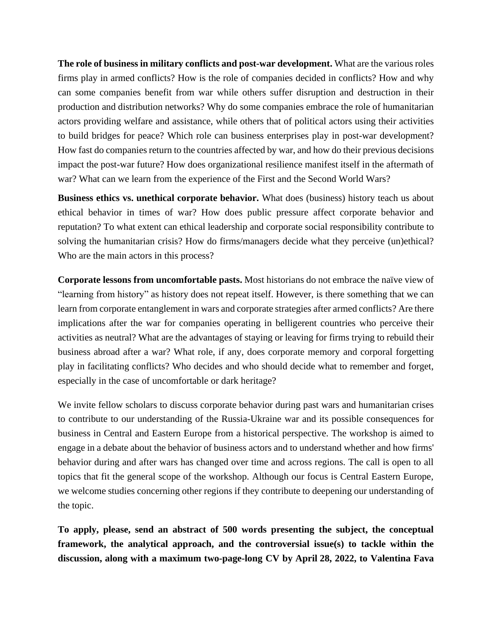**The role of business in military conflicts and post-war development.** What are the various roles firms play in armed conflicts? How is the role of companies decided in conflicts? How and why can some companies benefit from war while others suffer disruption and destruction in their production and distribution networks? Why do some companies embrace the role of humanitarian actors providing welfare and assistance, while others that of political actors using their activities to build bridges for peace? Which role can business enterprises play in post-war development? How fast do companies return to the countries affected by war, and how do their previous decisions impact the post-war future? How does organizational resilience manifest itself in the aftermath of war? What can we learn from the experience of the First and the Second World Wars?

**Business ethics vs. unethical corporate behavior.** What does (business) history teach us about ethical behavior in times of war? How does public pressure affect corporate behavior and reputation? To what extent can ethical leadership and corporate social responsibility contribute to solving the humanitarian crisis? How do firms/managers decide what they perceive (un)ethical? Who are the main actors in this process?

**Corporate lessons from uncomfortable pasts.** Most historians do not embrace the naïve view of "learning from history" as history does not repeat itself. However, is there something that we can learn from corporate entanglement in wars and corporate strategies after armed conflicts? Are there implications after the war for companies operating in belligerent countries who perceive their activities as neutral? What are the advantages of staying or leaving for firms trying to rebuild their business abroad after a war? What role, if any, does corporate memory and corporal forgetting play in facilitating conflicts? Who decides and who should decide what to remember and forget, especially in the case of uncomfortable or dark heritage?

We invite fellow scholars to discuss corporate behavior during past wars and humanitarian crises to contribute to our understanding of the Russia-Ukraine war and its possible consequences for business in Central and Eastern Europe from a historical perspective. The workshop is aimed to engage in a debate about the behavior of business actors and to understand whether and how firms' behavior during and after wars has changed over time and across regions. The call is open to all topics that fit the general scope of the workshop. Although our focus is Central Eastern Europe, we welcome studies concerning other regions if they contribute to deepening our understanding of the topic.

**To apply, please, send an abstract of 500 words presenting the subject, the conceptual framework, the analytical approach, and the controversial issue(s) to tackle within the discussion, along with a maximum two-page-long CV by April 28, 2022, to Valentina Fava**